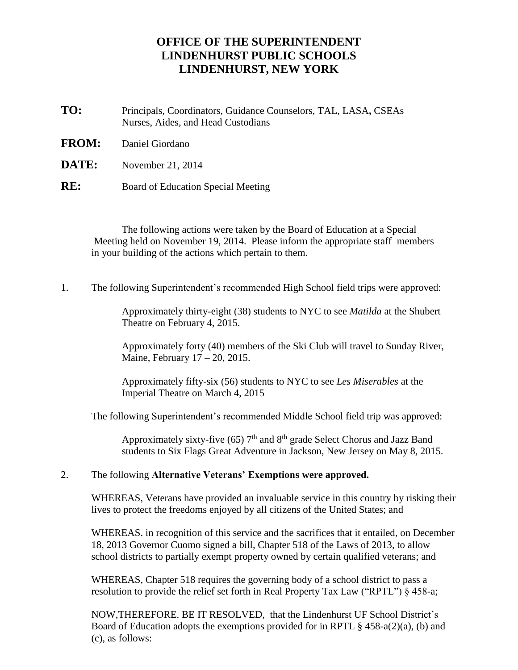# **OFFICE OF THE SUPERINTENDENT LINDENHURST PUBLIC SCHOOLS LINDENHURST, NEW YORK**

- **TO:** Principals, Coordinators, Guidance Counselors, TAL, LASA**,** CSEAs Nurses, Aides, and Head Custodians
- **FROM:** Daniel Giordano
- **DATE:** November 21, 2014
- **RE:** Board of Education Special Meeting

The following actions were taken by the Board of Education at a Special Meeting held on November 19, 2014. Please inform the appropriate staff members in your building of the actions which pertain to them.

1. The following Superintendent's recommended High School field trips were approved:

Approximately thirty-eight (38) students to NYC to see *Matilda* at the Shubert Theatre on February 4, 2015.

Approximately forty (40) members of the Ski Club will travel to Sunday River, Maine, February 17 – 20, 2015.

Approximately fifty-six (56) students to NYC to see *Les Miserables* at the Imperial Theatre on March 4, 2015

The following Superintendent's recommended Middle School field trip was approved:

Approximately sixty-five (65)  $7<sup>th</sup>$  and  $8<sup>th</sup>$  grade Select Chorus and Jazz Band students to Six Flags Great Adventure in Jackson, New Jersey on May 8, 2015.

#### 2. The following **Alternative Veterans' Exemptions were approved.**

WHEREAS, Veterans have provided an invaluable service in this country by risking their lives to protect the freedoms enjoyed by all citizens of the United States; and

WHEREAS. in recognition of this service and the sacrifices that it entailed, on December 18, 2013 Governor Cuomo signed a bill, Chapter 518 of the Laws of 2013, to allow school districts to partially exempt property owned by certain qualified veterans; and

WHEREAS, Chapter 518 requires the governing body of a school district to pass a resolution to provide the relief set forth in Real Property Tax Law ("RPTL") § 458-a;

NOW,THEREFORE. BE IT RESOLVED, that the Lindenhurst UF School District's Board of Education adopts the exemptions provided for in RPTL  $\S$  458-a(2)(a), (b) and (c), as follows: